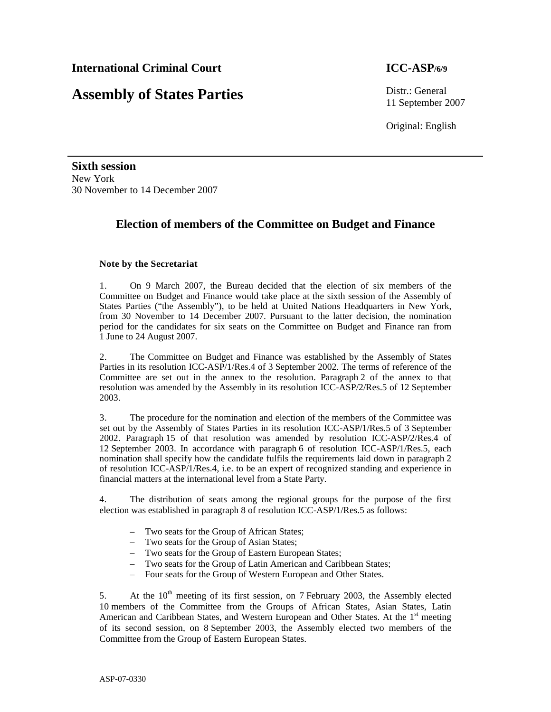# **Assembly of States Parties** Distr.: General

11 September 2007

Original: English

**Sixth session**  New York 30 November to 14 December 2007

# **Election of members of the Committee on Budget and Finance**

# **Note by the Secretariat**

1. On 9 March 2007, the Bureau decided that the election of six members of the Committee on Budget and Finance would take place at the sixth session of the Assembly of States Parties ("the Assembly"), to be held at United Nations Headquarters in New York, from 30 November to 14 December 2007. Pursuant to the latter decision, the nomination period for the candidates for six seats on the Committee on Budget and Finance ran from 1 June to 24 August 2007.

2. The Committee on Budget and Finance was established by the Assembly of States Parties in its resolution ICC-ASP/1/Res.4 of 3 September 2002. The terms of reference of the Committee are set out in the annex to the resolution. Paragraph 2 of the annex to that resolution was amended by the Assembly in its resolution ICC-ASP/2/Res.5 of 12 September 2003.

3. The procedure for the nomination and election of the members of the Committee was set out by the Assembly of States Parties in its resolution ICC-ASP/1/Res.5 of 3 September 2002. Paragraph 15 of that resolution was amended by resolution ICC-ASP/2/Res.4 of 12 September 2003. In accordance with paragraph 6 of resolution ICC-ASP/1/Res.5, each nomination shall specify how the candidate fulfils the requirements laid down in paragraph 2 of resolution ICC-ASP/1/Res.4, i.e. to be an expert of recognized standing and experience in financial matters at the international level from a State Party.

4. The distribution of seats among the regional groups for the purpose of the first election was established in paragraph 8 of resolution ICC-ASP/1/Res.5 as follows:

- Two seats for the Group of African States;
- Two seats for the Group of Asian States;
- Two seats for the Group of Eastern European States;
- Two seats for the Group of Latin American and Caribbean States;
- Four seats for the Group of Western European and Other States.

5. At the 10<sup>th</sup> meeting of its first session, on 7 February 2003, the Assembly elected 10 members of the Committee from the Groups of African States, Asian States, Latin American and Caribbean States, and Western European and Other States. At the  $1<sup>st</sup>$  meeting of its second session, on 8 September 2003, the Assembly elected two members of the Committee from the Group of Eastern European States.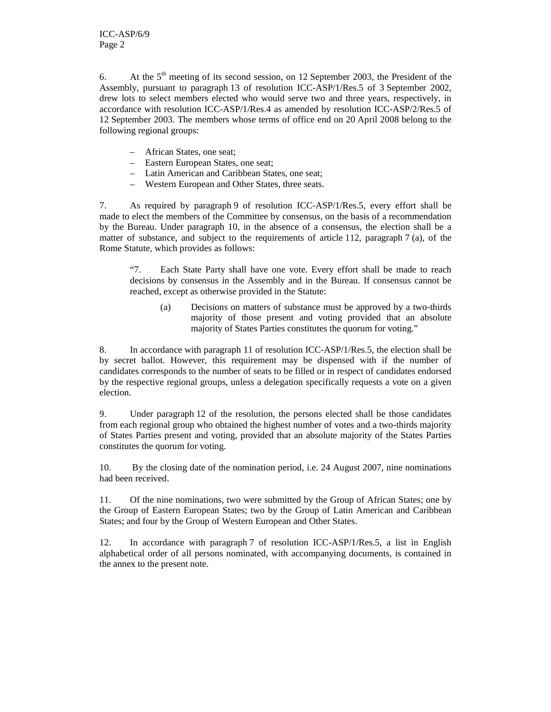6. At the  $5<sup>th</sup>$  meeting of its second session, on 12 September 2003, the President of the Assembly, pursuant to paragraph 13 of resolution ICC-ASP/1/Res.5 of 3 September 2002, drew lots to select members elected who would serve two and three years, respectively, in accordance with resolution ICC-ASP/1/Res.4 as amended by resolution ICC-ASP/2/Res.5 of 12 September 2003. The members whose terms of office end on 20 April 2008 belong to the following regional groups:

- African States, one seat;
- Eastern European States, one seat;
- Latin American and Caribbean States, one seat;
- Western European and Other States, three seats.

7. As required by paragraph 9 of resolution ICC-ASP/1/Res.5, every effort shall be made to elect the members of the Committee by consensus, on the basis of a recommendation by the Bureau. Under paragraph 10, in the absence of a consensus, the election shall be a matter of substance, and subject to the requirements of article 112, paragraph 7 (a), of the Rome Statute, which provides as follows:

"7. Each State Party shall have one vote. Every effort shall be made to reach decisions by consensus in the Assembly and in the Bureau. If consensus cannot be reached, except as otherwise provided in the Statute:

(a) Decisions on matters of substance must be approved by a two-thirds majority of those present and voting provided that an absolute majority of States Parties constitutes the quorum for voting."

8. In accordance with paragraph 11 of resolution ICC-ASP/1/Res.5, the election shall be by secret ballot. However, this requirement may be dispensed with if the number of candidates corresponds to the number of seats to be filled or in respect of candidates endorsed by the respective regional groups, unless a delegation specifically requests a vote on a given election.

9. Under paragraph 12 of the resolution, the persons elected shall be those candidates from each regional group who obtained the highest number of votes and a two-thirds majority of States Parties present and voting, provided that an absolute majority of the States Parties constitutes the quorum for voting.

10. By the closing date of the nomination period, i.e. 24 August 2007, nine nominations had been received.

11. Of the nine nominations, two were submitted by the Group of African States; one by the Group of Eastern European States; two by the Group of Latin American and Caribbean States; and four by the Group of Western European and Other States.

12. In accordance with paragraph 7 of resolution ICC-ASP/1/Res.5, a list in English alphabetical order of all persons nominated, with accompanying documents, is contained in the annex to the present note.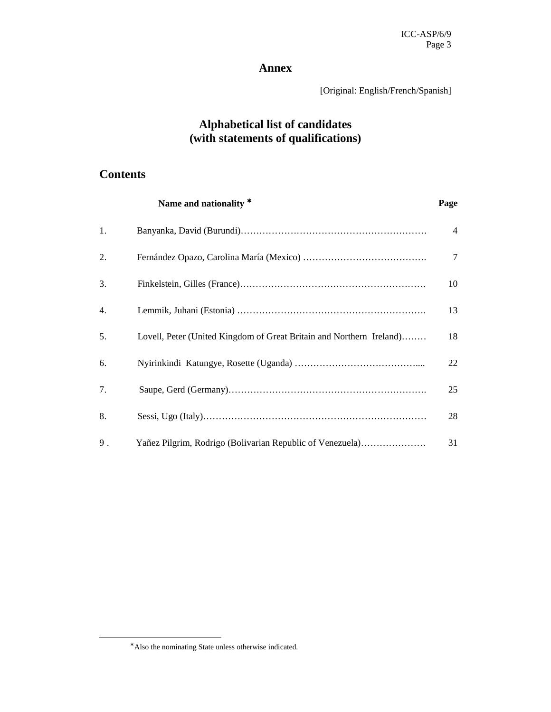# **Annex**

[Original: English/French/Spanish]

# **Alphabetical list of candidates (with statements of qualifications)**

# **Contents**

|     | Name and nationality *                                               | Page |  |
|-----|----------------------------------------------------------------------|------|--|
| 1.  |                                                                      | 4    |  |
| 2.  |                                                                      | 7    |  |
| 3.  |                                                                      | 10   |  |
| 4.  |                                                                      | 13   |  |
| .5. | Lovell, Peter (United Kingdom of Great Britain and Northern Ireland) | 18   |  |
| 6.  |                                                                      | 22   |  |
| 7.  |                                                                      | 25   |  |
| 8.  |                                                                      | 28   |  |
| 9.  | Yañez Pilgrim, Rodrigo (Bolivarian Republic of Venezuela)            | 31   |  |

-

<sup>∗</sup> Also the nominating State unless otherwise indicated.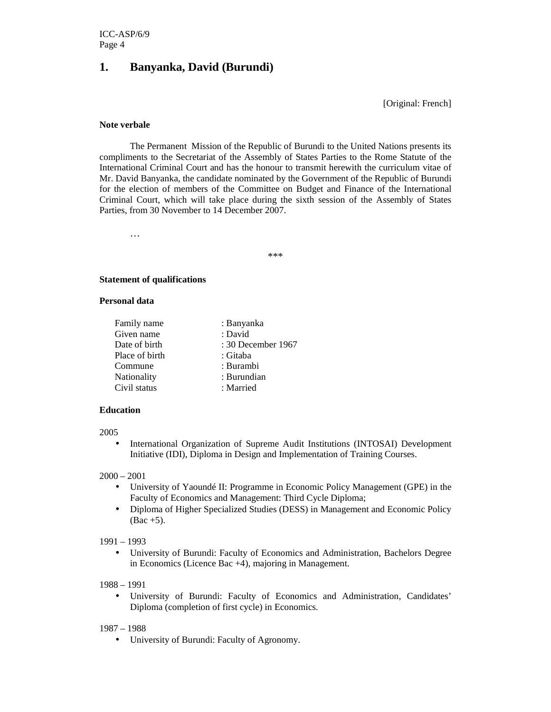# **1. Banyanka, David (Burundi)**

[Original: French]

#### **Note verbale**

 The Permanent Mission of the Republic of Burundi to the United Nations presents its compliments to the Secretariat of the Assembly of States Parties to the Rome Statute of the International Criminal Court and has the honour to transmit herewith the curriculum vitae of Mr. David Banyanka, the candidate nominated by the Government of the Republic of Burundi for the election of members of the Committee on Budget and Finance of the International Criminal Court, which will take place during the sixth session of the Assembly of States Parties, from 30 November to 14 December 2007.

…

\*\*\*

#### **Statement of qualifications**

#### **Personal data**

| Family name    | : Banyanka         |
|----------------|--------------------|
| Given name     | : David            |
| Date of birth  | : 30 December 1967 |
| Place of birth | : Gitaba           |
| Commune        | : Burambi          |
| Nationality    | : Burundian        |
| Civil status   | : Married          |
|                |                    |

## **Education**

#### 2005

• International Organization of Supreme Audit Institutions (INTOSAI) Development Initiative (IDI), Diploma in Design and Implementation of Training Courses.

#### 2000 – 2001

- University of Yaoundé II: Programme in Economic Policy Management (GPE) in the Faculty of Economics and Management: Third Cycle Diploma;
- Diploma of Higher Specialized Studies (DESS) in Management and Economic Policy  $(Bac +5)$ .

#### 1991 – 1993

• University of Burundi: Faculty of Economics and Administration, Bachelors Degree in Economics (Licence Bac +4), majoring in Management.

#### 1988 – 1991

• University of Burundi: Faculty of Economics and Administration, Candidates' Diploma (completion of first cycle) in Economics.

#### 1987 – 1988

• University of Burundi: Faculty of Agronomy.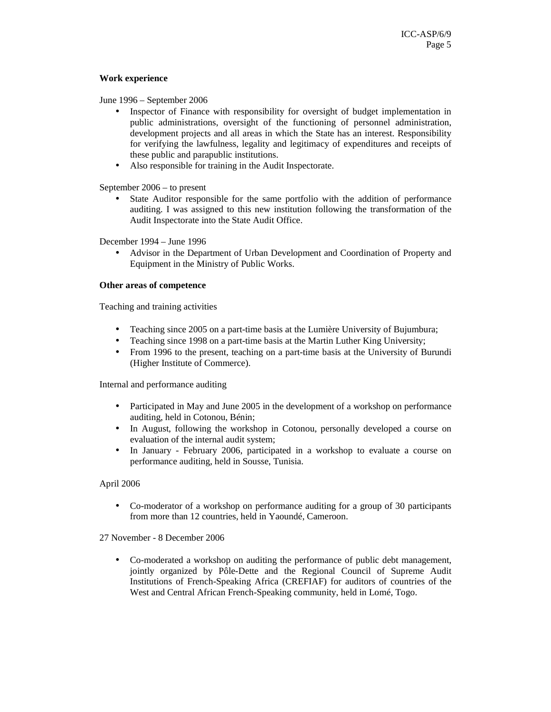## **Work experience**

June 1996 – September 2006

- Inspector of Finance with responsibility for oversight of budget implementation in public administrations, oversight of the functioning of personnel administration, development projects and all areas in which the State has an interest. Responsibility for verifying the lawfulness, legality and legitimacy of expenditures and receipts of these public and parapublic institutions.
- Also responsible for training in the Audit Inspectorate.

September 2006 – to present

• State Auditor responsible for the same portfolio with the addition of performance auditing. I was assigned to this new institution following the transformation of the Audit Inspectorate into the State Audit Office.

December 1994 – June 1996

• Advisor in the Department of Urban Development and Coordination of Property and Equipment in the Ministry of Public Works.

#### **Other areas of competence**

Teaching and training activities

- Teaching since 2005 on a part-time basis at the Lumière University of Bujumbura;
- Teaching since 1998 on a part-time basis at the Martin Luther King University;
- From 1996 to the present, teaching on a part-time basis at the University of Burundi (Higher Institute of Commerce).

Internal and performance auditing

- Participated in May and June 2005 in the development of a workshop on performance auditing, held in Cotonou, Bénin;
- In August, following the workshop in Cotonou, personally developed a course on evaluation of the internal audit system;
- In January February 2006, participated in a workshop to evaluate a course on performance auditing, held in Sousse, Tunisia.

## April 2006

• Co-moderator of a workshop on performance auditing for a group of 30 participants from more than 12 countries, held in Yaoundé, Cameroon.

27 November - 8 December 2006

• Co-moderated a workshop on auditing the performance of public debt management, jointly organized by Pôle-Dette and the Regional Council of Supreme Audit Institutions of French-Speaking Africa (CREFIAF) for auditors of countries of the West and Central African French-Speaking community, held in Lomé, Togo.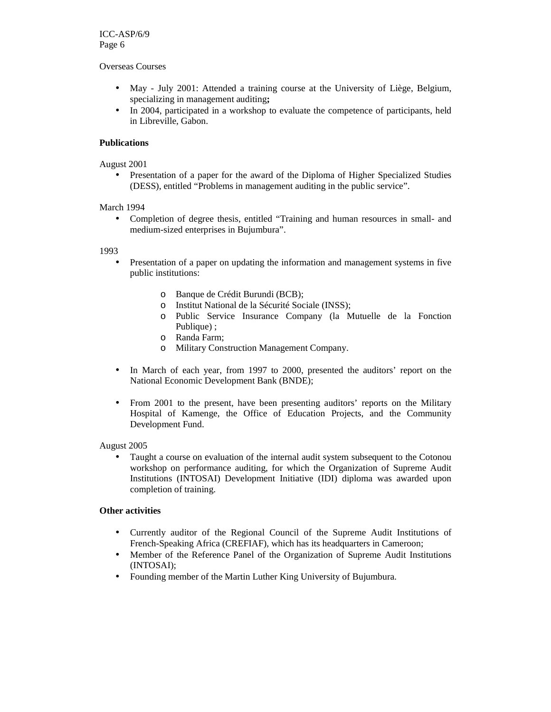Overseas Courses

- May July 2001: Attended a training course at the University of Liège, Belgium, specializing in management auditing**;**
- In 2004, participated in a workshop to evaluate the competence of participants, held in Libreville, Gabon.

## **Publications**

#### August 2001

• Presentation of a paper for the award of the Diploma of Higher Specialized Studies (DESS), entitled "Problems in management auditing in the public service".

#### March 1994

• Completion of degree thesis, entitled "Training and human resources in small- and medium-sized enterprises in Bujumbura".

1993

- Presentation of a paper on updating the information and management systems in five public institutions:
	- o Banque de Crédit Burundi (BCB);
	- o Institut National de la Sécurité Sociale (INSS);
	- o Public Service Insurance Company (la Mutuelle de la Fonction Publique) ;
	- o Randa Farm;
	- o Military Construction Management Company.
- In March of each year, from 1997 to 2000, presented the auditors' report on the National Economic Development Bank (BNDE);
- From 2001 to the present, have been presenting auditors' reports on the Military Hospital of Kamenge, the Office of Education Projects, and the Community Development Fund.

#### August 2005

• Taught a course on evaluation of the internal audit system subsequent to the Cotonou workshop on performance auditing, for which the Organization of Supreme Audit Institutions (INTOSAI) Development Initiative (IDI) diploma was awarded upon completion of training.

## **Other activities**

- Currently auditor of the Regional Council of the Supreme Audit Institutions of French-Speaking Africa (CREFIAF), which has its headquarters in Cameroon;
- Member of the Reference Panel of the Organization of Supreme Audit Institutions (INTOSAI);
- Founding member of the Martin Luther King University of Bujumbura.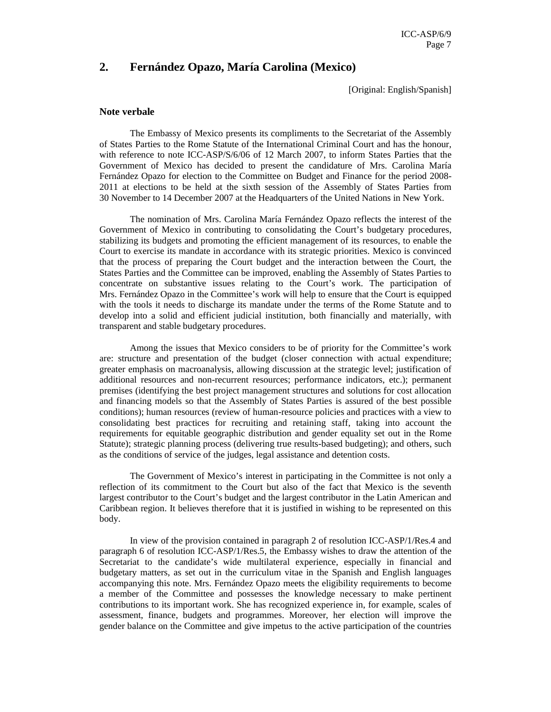# **2. Fernández Opazo, María Carolina (Mexico)**

[Original: English/Spanish]

#### **Note verbale**

The Embassy of Mexico presents its compliments to the Secretariat of the Assembly of States Parties to the Rome Statute of the International Criminal Court and has the honour, with reference to note ICC-ASP/S/6/06 of 12 March 2007, to inform States Parties that the Government of Mexico has decided to present the candidature of Mrs. Carolina María Fernández Opazo for election to the Committee on Budget and Finance for the period 2008- 2011 at elections to be held at the sixth session of the Assembly of States Parties from 30 November to 14 December 2007 at the Headquarters of the United Nations in New York.

The nomination of Mrs. Carolina María Fernández Opazo reflects the interest of the Government of Mexico in contributing to consolidating the Court's budgetary procedures, stabilizing its budgets and promoting the efficient management of its resources, to enable the Court to exercise its mandate in accordance with its strategic priorities. Mexico is convinced that the process of preparing the Court budget and the interaction between the Court, the States Parties and the Committee can be improved, enabling the Assembly of States Parties to concentrate on substantive issues relating to the Court's work. The participation of Mrs. Fernández Opazo in the Committee's work will help to ensure that the Court is equipped with the tools it needs to discharge its mandate under the terms of the Rome Statute and to develop into a solid and efficient judicial institution, both financially and materially, with transparent and stable budgetary procedures.

Among the issues that Mexico considers to be of priority for the Committee's work are: structure and presentation of the budget (closer connection with actual expenditure; greater emphasis on macroanalysis, allowing discussion at the strategic level; justification of additional resources and non-recurrent resources; performance indicators, etc.); permanent premises (identifying the best project management structures and solutions for cost allocation and financing models so that the Assembly of States Parties is assured of the best possible conditions); human resources (review of human-resource policies and practices with a view to consolidating best practices for recruiting and retaining staff, taking into account the requirements for equitable geographic distribution and gender equality set out in the Rome Statute); strategic planning process (delivering true results-based budgeting); and others, such as the conditions of service of the judges, legal assistance and detention costs.

The Government of Mexico's interest in participating in the Committee is not only a reflection of its commitment to the Court but also of the fact that Mexico is the seventh largest contributor to the Court's budget and the largest contributor in the Latin American and Caribbean region. It believes therefore that it is justified in wishing to be represented on this body.

In view of the provision contained in paragraph 2 of resolution ICC-ASP/1/Res.4 and paragraph 6 of resolution ICC-ASP/1/Res.5, the Embassy wishes to draw the attention of the Secretariat to the candidate's wide multilateral experience, especially in financial and budgetary matters, as set out in the curriculum vitae in the Spanish and English languages accompanying this note. Mrs. Fernández Opazo meets the eligibility requirements to become a member of the Committee and possesses the knowledge necessary to make pertinent contributions to its important work. She has recognized experience in, for example, scales of assessment, finance, budgets and programmes. Moreover, her election will improve the gender balance on the Committee and give impetus to the active participation of the countries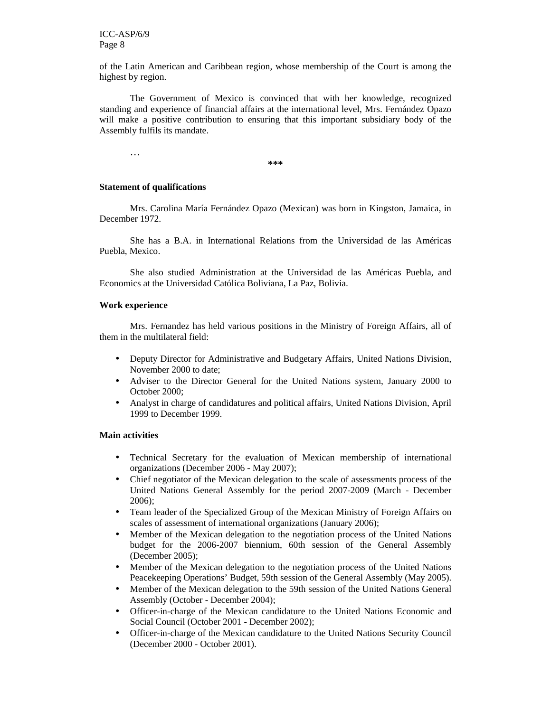of the Latin American and Caribbean region, whose membership of the Court is among the highest by region.

The Government of Mexico is convinced that with her knowledge, recognized standing and experience of financial affairs at the international level, Mrs. Fernández Opazo will make a positive contribution to ensuring that this important subsidiary body of the Assembly fulfils its mandate.

**\*\*\*** 

#### **Statement of qualifications**

…

Mrs. Carolina María Fernández Opazo (Mexican) was born in Kingston, Jamaica, in December 1972.

She has a B.A. in International Relations from the Universidad de las Américas Puebla, Mexico.

She also studied Administration at the Universidad de las Américas Puebla, and Economics at the Universidad Católica Boliviana, La Paz, Bolivia.

#### **Work experience**

Mrs. Fernandez has held various positions in the Ministry of Foreign Affairs, all of them in the multilateral field:

- Deputy Director for Administrative and Budgetary Affairs, United Nations Division, November 2000 to date;
- Adviser to the Director General for the United Nations system, January 2000 to October 2000;
- Analyst in charge of candidatures and political affairs, United Nations Division, April 1999 to December 1999.

#### **Main activities**

- Technical Secretary for the evaluation of Mexican membership of international organizations (December 2006 - May 2007);
- Chief negotiator of the Mexican delegation to the scale of assessments process of the United Nations General Assembly for the period 2007-2009 (March - December 2006);
- Team leader of the Specialized Group of the Mexican Ministry of Foreign Affairs on scales of assessment of international organizations (January 2006);
- Member of the Mexican delegation to the negotiation process of the United Nations budget for the 2006-2007 biennium, 60th session of the General Assembly (December 2005);
- Member of the Mexican delegation to the negotiation process of the United Nations Peacekeeping Operations' Budget, 59th session of the General Assembly (May 2005).
- Member of the Mexican delegation to the 59th session of the United Nations General Assembly (October - December 2004);
- Officer-in-charge of the Mexican candidature to the United Nations Economic and Social Council (October 2001 - December 2002);
- Officer-in-charge of the Mexican candidature to the United Nations Security Council (December 2000 - October 2001).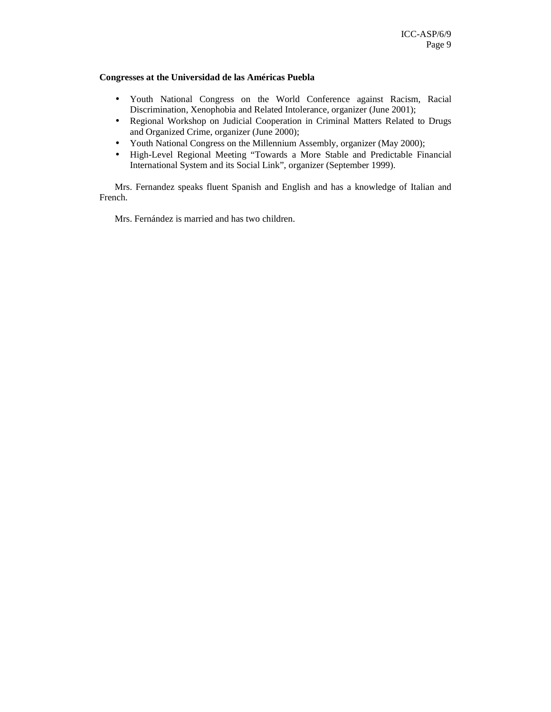# **Congresses at the Universidad de las Américas Puebla**

- Youth National Congress on the World Conference against Racism, Racial Discrimination, Xenophobia and Related Intolerance, organizer (June 2001);
- Regional Workshop on Judicial Cooperation in Criminal Matters Related to Drugs and Organized Crime, organizer (June 2000);
- Youth National Congress on the Millennium Assembly, organizer (May 2000);
- High-Level Regional Meeting "Towards a More Stable and Predictable Financial International System and its Social Link", organizer (September 1999).

Mrs. Fernandez speaks fluent Spanish and English and has a knowledge of Italian and French.

Mrs. Fernández is married and has two children.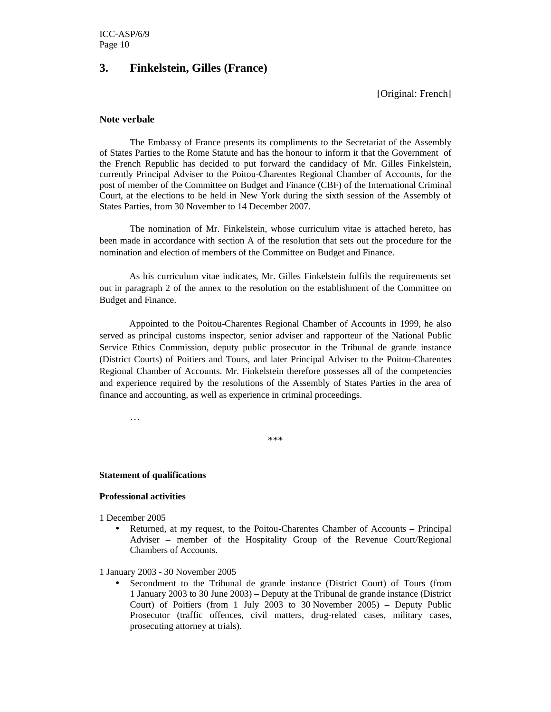# **3. Finkelstein, Gilles (France)**

[Original: French]

# **Note verbale**

The Embassy of France presents its compliments to the Secretariat of the Assembly of States Parties to the Rome Statute and has the honour to inform it that the Government of the French Republic has decided to put forward the candidacy of Mr. Gilles Finkelstein, currently Principal Adviser to the Poitou-Charentes Regional Chamber of Accounts, for the post of member of the Committee on Budget and Finance (CBF) of the International Criminal Court, at the elections to be held in New York during the sixth session of the Assembly of States Parties, from 30 November to 14 December 2007.

 The nomination of Mr. Finkelstein, whose curriculum vitae is attached hereto, has been made in accordance with section A of the resolution that sets out the procedure for the nomination and election of members of the Committee on Budget and Finance.

As his curriculum vitae indicates, Mr. Gilles Finkelstein fulfils the requirements set out in paragraph 2 of the annex to the resolution on the establishment of the Committee on Budget and Finance.

Appointed to the Poitou-Charentes Regional Chamber of Accounts in 1999, he also served as principal customs inspector, senior adviser and rapporteur of the National Public Service Ethics Commission, deputy public prosecutor in the Tribunal de grande instance (District Courts) of Poitiers and Tours, and later Principal Adviser to the Poitou-Charentes Regional Chamber of Accounts. Mr. Finkelstein therefore possesses all of the competencies and experience required by the resolutions of the Assembly of States Parties in the area of finance and accounting, as well as experience in criminal proceedings.

…

\*\*\*

#### **Statement of qualifications**

# **Professional activities**

1 December 2005

• Returned, at my request, to the Poitou-Charentes Chamber of Accounts – Principal Adviser – member of the Hospitality Group of the Revenue Court/Regional Chambers of Accounts.

1 January 2003 - 30 November 2005

• Secondment to the Tribunal de grande instance (District Court) of Tours (from 1 January 2003 to 30 June 2003) – Deputy at the Tribunal de grande instance (District Court) of Poitiers (from 1 July 2003 to 30 November 2005) – Deputy Public Prosecutor (traffic offences, civil matters, drug-related cases, military cases, prosecuting attorney at trials).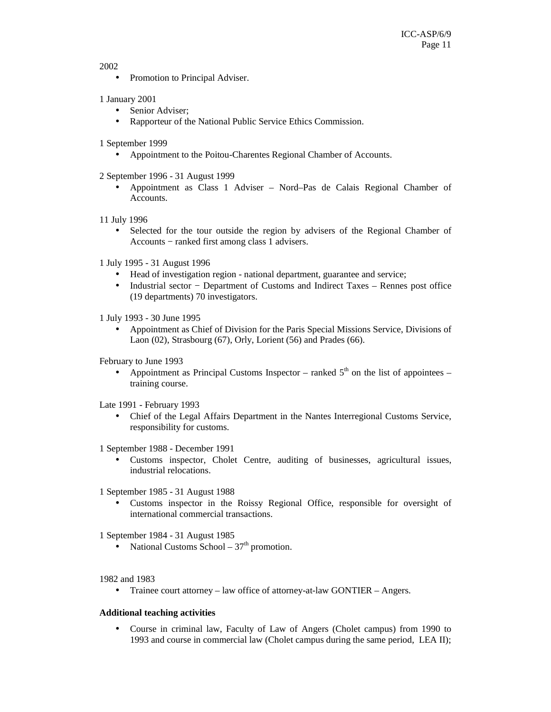2002

• Promotion to Principal Adviser.

# 1 January 2001

- Senior Adviser;
- Rapporteur of the National Public Service Ethics Commission.

1 September 1999

• Appointment to the Poitou-Charentes Regional Chamber of Accounts.

2 September 1996 - 31 August 1999

• Appointment as Class 1 Adviser – Nord–Pas de Calais Regional Chamber of Accounts.

11 July 1996

• Selected for the tour outside the region by advisers of the Regional Chamber of Accounts − ranked first among class 1 advisers.

1 July 1995 - 31 August 1996

- Head of investigation region national department, guarantee and service;
- Industrial sector − Department of Customs and Indirect Taxes Rennes post office (19 departments) 70 investigators.

1 July 1993 - 30 June 1995

• Appointment as Chief of Division for the Paris Special Missions Service, Divisions of Laon (02), Strasbourg (67), Orly, Lorient (56) and Prades (66).

February to June 1993

• Appointment as Principal Customs Inspector – ranked  $5<sup>th</sup>$  on the list of appointees – training course.

Late 1991 - February 1993

• Chief of the Legal Affairs Department in the Nantes Interregional Customs Service, responsibility for customs.

1 September 1988 - December 1991

• Customs inspector, Cholet Centre, auditing of businesses, agricultural issues, industrial relocations.

1 September 1985 - 31 August 1988

• Customs inspector in the Roissy Regional Office, responsible for oversight of international commercial transactions.

1 September 1984 - 31 August 1985

• National Customs School –  $37<sup>th</sup>$  promotion.

1982 and 1983

• Trainee court attorney – law office of attorney-at-law GONTIER – Angers.

# **Additional teaching activities**

• Course in criminal law, Faculty of Law of Angers (Cholet campus) from 1990 to 1993 and course in commercial law (Cholet campus during the same period, LEA II);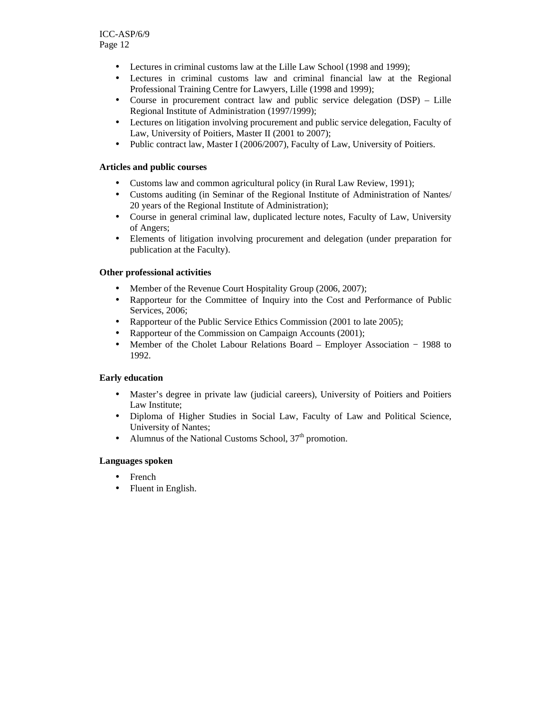- Lectures in criminal customs law at the Lille Law School (1998 and 1999);
- Lectures in criminal customs law and criminal financial law at the Regional Professional Training Centre for Lawyers, Lille (1998 and 1999);
- Course in procurement contract law and public service delegation (DSP) Lille Regional Institute of Administration (1997/1999);
- Lectures on litigation involving procurement and public service delegation, Faculty of Law, University of Poitiers, Master II (2001 to 2007);
- Public contract law, Master I (2006/2007), Faculty of Law, University of Poitiers.

# **Articles and public courses**

- Customs law and common agricultural policy (in Rural Law Review, 1991);
- Customs auditing (in Seminar of the Regional Institute of Administration of Nantes/ 20 years of the Regional Institute of Administration);
- Course in general criminal law, duplicated lecture notes, Faculty of Law, University of Angers;
- Elements of litigation involving procurement and delegation (under preparation for publication at the Faculty).

# **Other professional activities**

- Member of the Revenue Court Hospitality Group (2006, 2007);
- Rapporteur for the Committee of Inquiry into the Cost and Performance of Public Services, 2006;
- Rapporteur of the Public Service Ethics Commission (2001 to late 2005);
- Rapporteur of the Commission on Campaign Accounts (2001);
- Member of the Cholet Labour Relations Board Employer Association − 1988 to 1992.

## **Early education**

- Master's degree in private law (judicial careers), University of Poitiers and Poitiers Law Institute;
- Diploma of Higher Studies in Social Law, Faculty of Law and Political Science, University of Nantes;
- Alumnus of the National Customs School,  $37<sup>th</sup>$  promotion.

## **Languages spoken**

- **French**
- Fluent in English.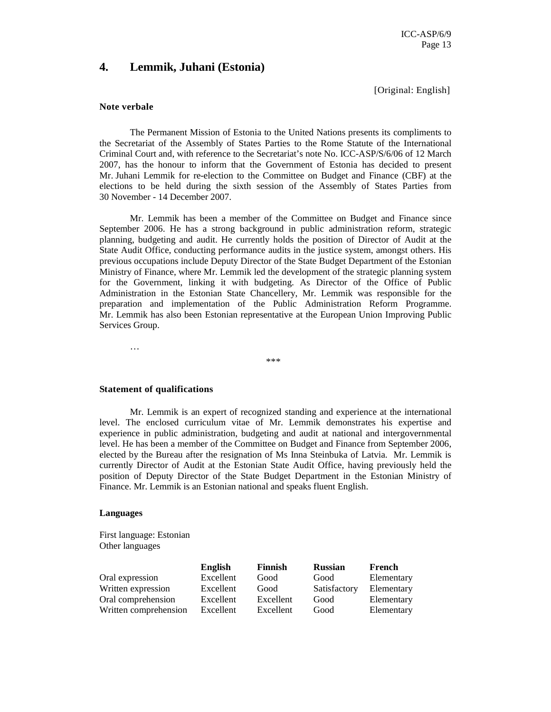# **4. Lemmik, Juhani (Estonia)**

[Original: English]

#### **Note verbale**

The Permanent Mission of Estonia to the United Nations presents its compliments to the Secretariat of the Assembly of States Parties to the Rome Statute of the International Criminal Court and, with reference to the Secretariat's note No. ICC-ASP/S/6/06 of 12 March 2007, has the honour to inform that the Government of Estonia has decided to present Mr. Juhani Lemmik for re-election to the Committee on Budget and Finance (CBF) at the elections to be held during the sixth session of the Assembly of States Parties from 30 November - 14 December 2007.

Mr. Lemmik has been a member of the Committee on Budget and Finance since September 2006. He has a strong background in public administration reform, strategic planning, budgeting and audit. He currently holds the position of Director of Audit at the State Audit Office, conducting performance audits in the justice system, amongst others. His previous occupations include Deputy Director of the State Budget Department of the Estonian Ministry of Finance, where Mr. Lemmik led the development of the strategic planning system for the Government, linking it with budgeting. As Director of the Office of Public Administration in the Estonian State Chancellery, Mr. Lemmik was responsible for the preparation and implementation of the Public Administration Reform Programme. Mr. Lemmik has also been Estonian representative at the European Union Improving Public Services Group.

\*\*\*

#### **Statement of qualifications**

…

Mr. Lemmik is an expert of recognized standing and experience at the international level. The enclosed curriculum vitae of Mr. Lemmik demonstrates his expertise and experience in public administration, budgeting and audit at national and intergovernmental level. He has been a member of the Committee on Budget and Finance from September 2006, elected by the Bureau after the resignation of Ms Inna Steinbuka of Latvia. Mr. Lemmik is currently Director of Audit at the Estonian State Audit Office, having previously held the position of Deputy Director of the State Budget Department in the Estonian Ministry of Finance. Mr. Lemmik is an Estonian national and speaks fluent English.

#### **Languages**

First language: Estonian Other languages

|                       | <b>English</b> | Finnish   | <b>Russian</b> | French     |
|-----------------------|----------------|-----------|----------------|------------|
| Oral expression       | Excellent      | Good      | Good           | Elementary |
| Written expression    | Excellent      | Good      | Satisfactory   | Elementary |
| Oral comprehension    | Excellent      | Excellent | Good           | Elementary |
| Written comprehension | Excellent      | Excellent | Good           | Elementary |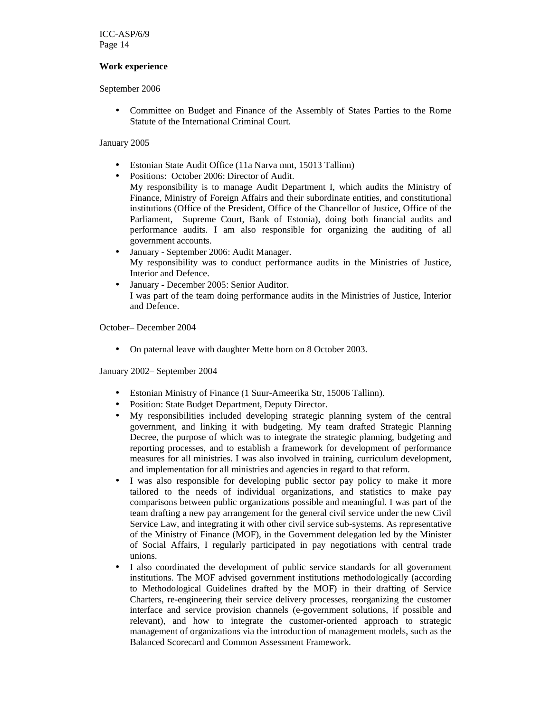## **Work experience**

September 2006

• Committee on Budget and Finance of the Assembly of States Parties to the Rome Statute of the International Criminal Court.

# January 2005

- Estonian State Audit Office (11a Narva mnt, 15013 Tallinn)
- Positions: October 2006: Director of Audit.

My responsibility is to manage Audit Department I, which audits the Ministry of Finance, Ministry of Foreign Affairs and their subordinate entities, and constitutional institutions (Office of the President, Office of the Chancellor of Justice, Office of the Parliament, Supreme Court, Bank of Estonia), doing both financial audits and performance audits. I am also responsible for organizing the auditing of all government accounts.

- January September 2006: Audit Manager. My responsibility was to conduct performance audits in the Ministries of Justice, Interior and Defence.
- January December 2005: Senior Auditor. I was part of the team doing performance audits in the Ministries of Justice, Interior and Defence.

October– December 2004

• On paternal leave with daughter Mette born on 8 October 2003.

January 2002– September 2004

- Estonian Ministry of Finance (1 Suur-Ameerika Str, 15006 Tallinn).
- Position: State Budget Department, Deputy Director.
- My responsibilities included developing strategic planning system of the central government, and linking it with budgeting. My team drafted Strategic Planning Decree, the purpose of which was to integrate the strategic planning, budgeting and reporting processes, and to establish a framework for development of performance measures for all ministries. I was also involved in training, curriculum development, and implementation for all ministries and agencies in regard to that reform.
- I was also responsible for developing public sector pay policy to make it more tailored to the needs of individual organizations, and statistics to make pay comparisons between public organizations possible and meaningful. I was part of the team drafting a new pay arrangement for the general civil service under the new Civil Service Law, and integrating it with other civil service sub-systems. As representative of the Ministry of Finance (MOF), in the Government delegation led by the Minister of Social Affairs, I regularly participated in pay negotiations with central trade unions.
- I also coordinated the development of public service standards for all government institutions. The MOF advised government institutions methodologically (according to Methodological Guidelines drafted by the MOF) in their drafting of Service Charters, re-engineering their service delivery processes, reorganizing the customer interface and service provision channels (e-government solutions, if possible and relevant), and how to integrate the customer-oriented approach to strategic management of organizations via the introduction of management models, such as the Balanced Scorecard and Common Assessment Framework.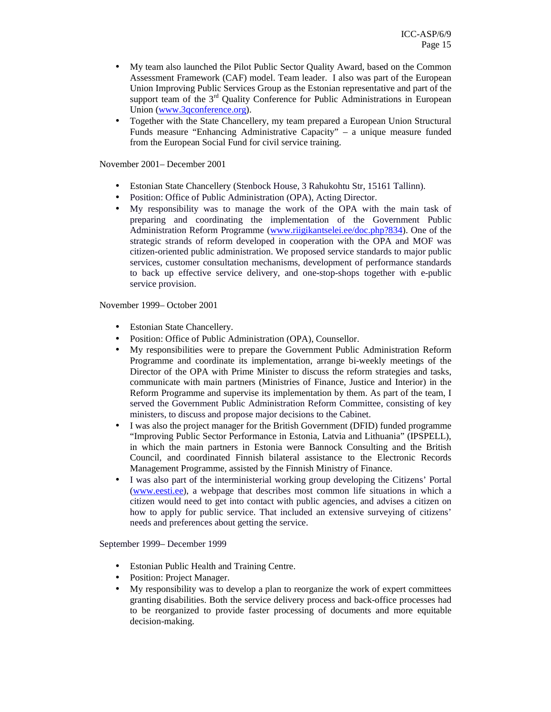- My team also launched the Pilot Public Sector Quality Award, based on the Common Assessment Framework (CAF) model. Team leader. I also was part of the European Union Improving Public Services Group as the Estonian representative and part of the support team of the 3<sup>rd</sup> Quality Conference for Public Administrations in European Union (www.3qconference.org).
- Together with the State Chancellery, my team prepared a European Union Structural Funds measure "Enhancing Administrative Capacity" – a unique measure funded from the European Social Fund for civil service training.

November 2001– December 2001

- Estonian State Chancellery (Stenbock House, 3 Rahukohtu Str, 15161 Tallinn).
- Position: Office of Public Administration (OPA), Acting Director.
- My responsibility was to manage the work of the OPA with the main task of preparing and coordinating the implementation of the Government Public Administration Reform Programme (www.riigikantselei.ee/doc.php?834). One of the strategic strands of reform developed in cooperation with the OPA and MOF was citizen-oriented public administration. We proposed service standards to major public services, customer consultation mechanisms, development of performance standards to back up effective service delivery, and one-stop-shops together with e-public service provision.

November 1999– October 2001

- **Estonian State Chancellery.**
- Position: Office of Public Administration (OPA), Counsellor.
- My responsibilities were to prepare the Government Public Administration Reform Programme and coordinate its implementation, arrange bi-weekly meetings of the Director of the OPA with Prime Minister to discuss the reform strategies and tasks, communicate with main partners (Ministries of Finance, Justice and Interior) in the Reform Programme and supervise its implementation by them. As part of the team, I served the Government Public Administration Reform Committee, consisting of key ministers, to discuss and propose major decisions to the Cabinet.
- I was also the project manager for the British Government (DFID) funded programme "Improving Public Sector Performance in Estonia, Latvia and Lithuania" (IPSPELL), in which the main partners in Estonia were Bannock Consulting and the British Council, and coordinated Finnish bilateral assistance to the Electronic Records Management Programme, assisted by the Finnish Ministry of Finance.
- I was also part of the interministerial working group developing the Citizens' Portal (www.eesti.ee), a webpage that describes most common life situations in which a citizen would need to get into contact with public agencies, and advises a citizen on how to apply for public service. That included an extensive surveying of citizens' needs and preferences about getting the service.

September 1999– December 1999

- Estonian Public Health and Training Centre.
- Position: Project Manager.
- My responsibility was to develop a plan to reorganize the work of expert committees granting disabilities. Both the service delivery process and back-office processes had to be reorganized to provide faster processing of documents and more equitable decision-making.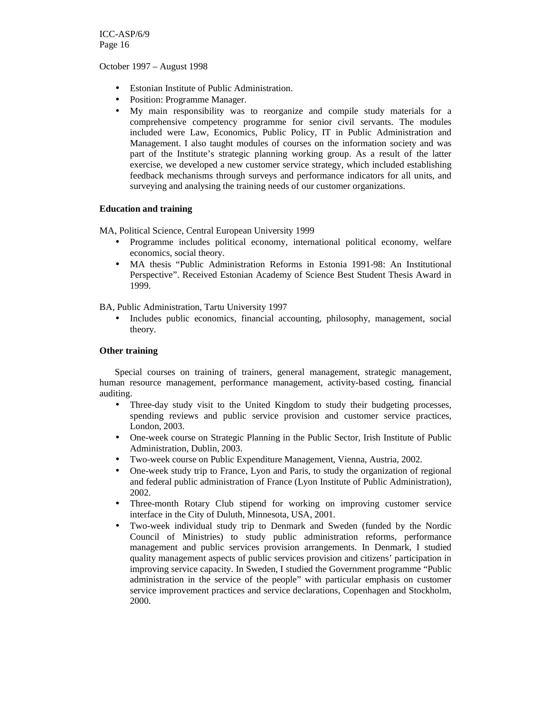October 1997 – August 1998

- Estonian Institute of Public Administration.
- Position: Programme Manager.
- My main responsibility was to reorganize and compile study materials for a comprehensive competency programme for senior civil servants. The modules included were Law, Economics, Public Policy, IT in Public Administration and Management. I also taught modules of courses on the information society and was part of the Institute's strategic planning working group. As a result of the latter exercise, we developed a new customer service strategy, which included establishing feedback mechanisms through surveys and performance indicators for all units, and surveying and analysing the training needs of our customer organizations.

## **Education and training**

MA, Political Science, Central European University 1999

- Programme includes political economy, international political economy, welfare economics, social theory.
- MA thesis "Public Administration Reforms in Estonia 1991-98: An Institutional Perspective". Received Estonian Academy of Science Best Student Thesis Award in 1999.

BA, Public Administration, Tartu University 1997

• Includes public economics, financial accounting, philosophy, management, social theory.

## **Other training**

Special courses on training of trainers, general management, strategic management, human resource management, performance management, activity-based costing, financial auditing.

- Three-day study visit to the United Kingdom to study their budgeting processes, spending reviews and public service provision and customer service practices, London, 2003.
- One-week course on Strategic Planning in the Public Sector, Irish Institute of Public Administration, Dublin, 2003.
- Two-week course on Public Expenditure Management, Vienna, Austria, 2002.
- One-week study trip to France, Lyon and Paris, to study the organization of regional and federal public administration of France (Lyon Institute of Public Administration), 2002.
- Three-month Rotary Club stipend for working on improving customer service interface in the City of Duluth, Minnesota, USA, 2001.
- Two-week individual study trip to Denmark and Sweden (funded by the Nordic Council of Ministries) to study public administration reforms, performance management and public services provision arrangements. In Denmark, I studied quality management aspects of public services provision and citizens' participation in improving service capacity. In Sweden, I studied the Government programme "Public administration in the service of the people" with particular emphasis on customer service improvement practices and service declarations, Copenhagen and Stockholm, 2000.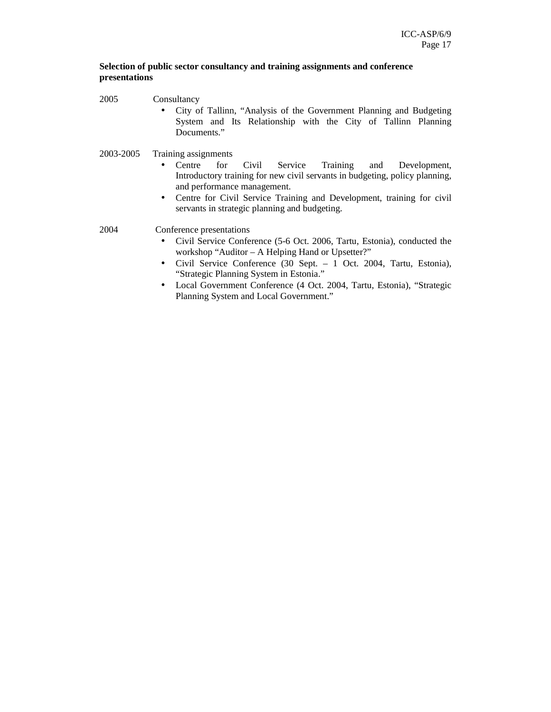# **Selection of public sector consultancy and training assignments and conference presentations**

2005 Consultancy

- City of Tallinn, "Analysis of the Government Planning and Budgeting System and Its Relationship with the City of Tallinn Planning Documents."
- 2003-2005 Training assignments
	- Centre for Civil Service Training and Development, Introductory training for new civil servants in budgeting, policy planning, and performance management.
	- Centre for Civil Service Training and Development, training for civil servants in strategic planning and budgeting.

2004 Conference presentations

- Civil Service Conference (5-6 Oct. 2006, Tartu, Estonia), conducted the workshop "Auditor – A Helping Hand or Upsetter?"
- Civil Service Conference (30 Sept. 1 Oct. 2004, Tartu, Estonia), "Strategic Planning System in Estonia."
- Local Government Conference (4 Oct. 2004, Tartu, Estonia), "Strategic Planning System and Local Government."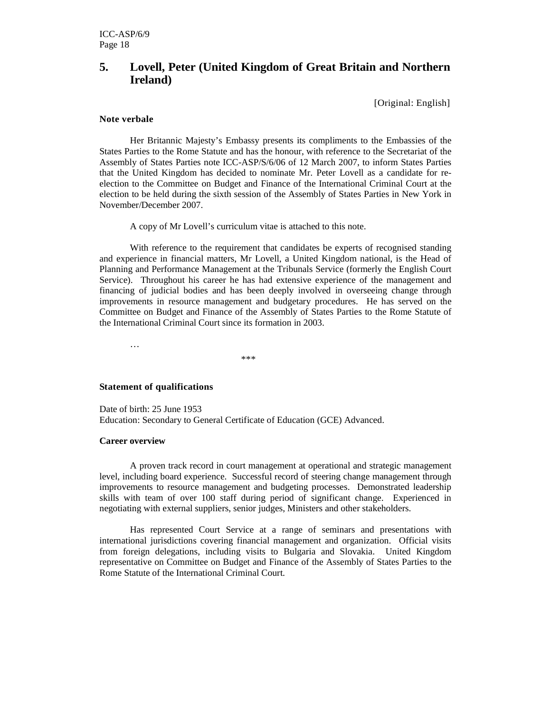# **5. Lovell, Peter (United Kingdom of Great Britain and Northern Ireland)**

[Original: English]

## **Note verbale**

Her Britannic Majesty's Embassy presents its compliments to the Embassies of the States Parties to the Rome Statute and has the honour, with reference to the Secretariat of the Assembly of States Parties note ICC-ASP/S/6/06 of 12 March 2007, to inform States Parties that the United Kingdom has decided to nominate Mr. Peter Lovell as a candidate for reelection to the Committee on Budget and Finance of the International Criminal Court at the election to be held during the sixth session of the Assembly of States Parties in New York in November/December 2007.

A copy of Mr Lovell's curriculum vitae is attached to this note.

With reference to the requirement that candidates be experts of recognised standing and experience in financial matters, Mr Lovell, a United Kingdom national, is the Head of Planning and Performance Management at the Tribunals Service (formerly the English Court Service). Throughout his career he has had extensive experience of the management and financing of judicial bodies and has been deeply involved in overseeing change through improvements in resource management and budgetary procedures. He has served on the Committee on Budget and Finance of the Assembly of States Parties to the Rome Statute of the International Criminal Court since its formation in 2003.

…

\*\*\*

## **Statement of qualifications**

Date of birth: 25 June 1953 Education: Secondary to General Certificate of Education (GCE) Advanced.

#### **Career overview**

A proven track record in court management at operational and strategic management level, including board experience. Successful record of steering change management through improvements to resource management and budgeting processes. Demonstrated leadership skills with team of over 100 staff during period of significant change. Experienced in negotiating with external suppliers, senior judges, Ministers and other stakeholders.

Has represented Court Service at a range of seminars and presentations with international jurisdictions covering financial management and organization. Official visits from foreign delegations, including visits to Bulgaria and Slovakia. United Kingdom representative on Committee on Budget and Finance of the Assembly of States Parties to the Rome Statute of the International Criminal Court.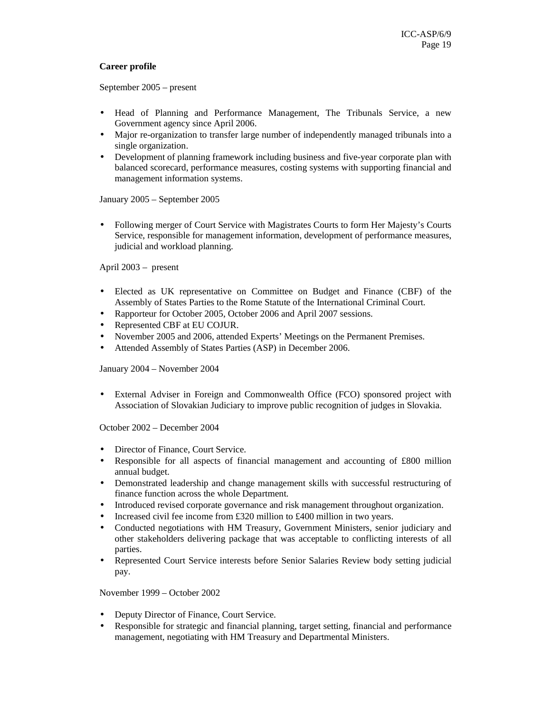# **Career profile**

September 2005 – present

- Head of Planning and Performance Management, The Tribunals Service, a new Government agency since April 2006.
- Major re-organization to transfer large number of independently managed tribunals into a single organization.
- Development of planning framework including business and five-year corporate plan with balanced scorecard, performance measures, costing systems with supporting financial and management information systems.

January 2005 – September 2005

• Following merger of Court Service with Magistrates Courts to form Her Majesty's Courts Service, responsible for management information, development of performance measures, judicial and workload planning.

April 2003 – present

- Elected as UK representative on Committee on Budget and Finance (CBF) of the Assembly of States Parties to the Rome Statute of the International Criminal Court.
- Rapporteur for October 2005, October 2006 and April 2007 sessions.
- Represented CBF at EU COJUR.
- November 2005 and 2006, attended Experts' Meetings on the Permanent Premises.
- Attended Assembly of States Parties (ASP) in December 2006.

January 2004 – November 2004

• External Adviser in Foreign and Commonwealth Office (FCO) sponsored project with Association of Slovakian Judiciary to improve public recognition of judges in Slovakia.

October 2002 – December 2004

- Director of Finance, Court Service.
- Responsible for all aspects of financial management and accounting of £800 million annual budget.
- Demonstrated leadership and change management skills with successful restructuring of finance function across the whole Department.
- Introduced revised corporate governance and risk management throughout organization.
- Increased civil fee income from £320 million to £400 million in two years.
- Conducted negotiations with HM Treasury, Government Ministers, senior judiciary and other stakeholders delivering package that was acceptable to conflicting interests of all parties.
- Represented Court Service interests before Senior Salaries Review body setting judicial pay.

November 1999 – October 2002

- Deputy Director of Finance, Court Service.
- Responsible for strategic and financial planning, target setting, financial and performance management, negotiating with HM Treasury and Departmental Ministers.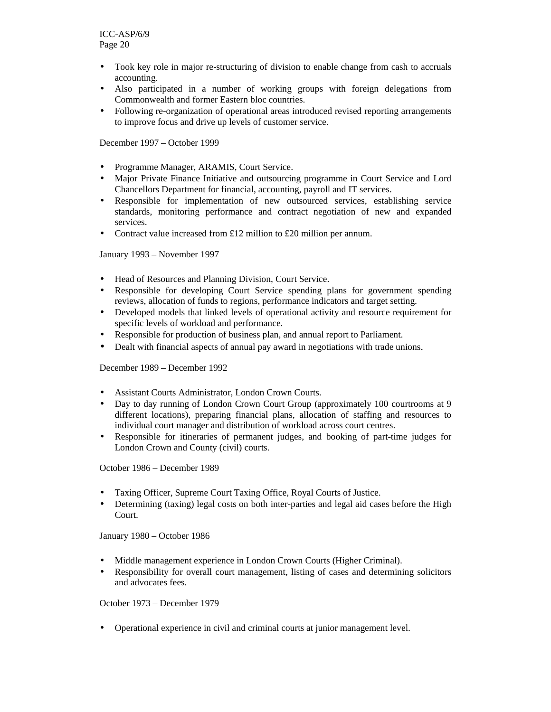- Took key role in major re-structuring of division to enable change from cash to accruals accounting.
- Also participated in a number of working groups with foreign delegations from Commonwealth and former Eastern bloc countries.
- Following re-organization of operational areas introduced revised reporting arrangements to improve focus and drive up levels of customer service.

December 1997 – October 1999

- Programme Manager, ARAMIS, Court Service.
- Major Private Finance Initiative and outsourcing programme in Court Service and Lord Chancellors Department for financial, accounting, payroll and IT services.
- Responsible for implementation of new outsourced services, establishing service standards, monitoring performance and contract negotiation of new and expanded services.
- Contract value increased from £12 million to £20 million per annum.

January 1993 – November 1997

- Head of Resources and Planning Division, Court Service.
- Responsible for developing Court Service spending plans for government spending reviews, allocation of funds to regions, performance indicators and target setting.
- Developed models that linked levels of operational activity and resource requirement for specific levels of workload and performance.
- Responsible for production of business plan, and annual report to Parliament.
- Dealt with financial aspects of annual pay award in negotiations with trade unions.

December 1989 – December 1992

- Assistant Courts Administrator, London Crown Courts.
- Day to day running of London Crown Court Group (approximately 100 courtrooms at 9 different locations), preparing financial plans, allocation of staffing and resources to individual court manager and distribution of workload across court centres.
- Responsible for itineraries of permanent judges, and booking of part-time judges for London Crown and County (civil) courts.

October 1986 – December 1989

- Taxing Officer, Supreme Court Taxing Office, Royal Courts of Justice.
- Determining (taxing) legal costs on both inter-parties and legal aid cases before the High Court.

January 1980 – October 1986

- Middle management experience in London Crown Courts (Higher Criminal).
- Responsibility for overall court management, listing of cases and determining solicitors and advocates fees.

October 1973 – December 1979

• Operational experience in civil and criminal courts at junior management level.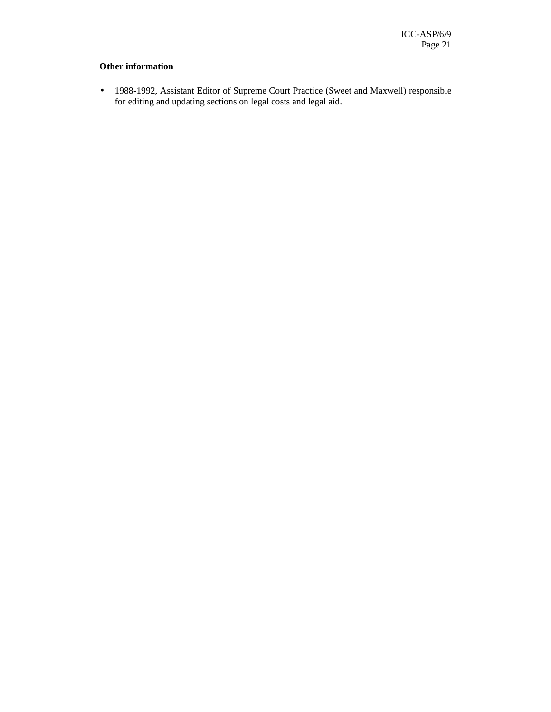# **Other information**

• 1988-1992, Assistant Editor of Supreme Court Practice (Sweet and Maxwell) responsible for editing and updating sections on legal costs and legal aid.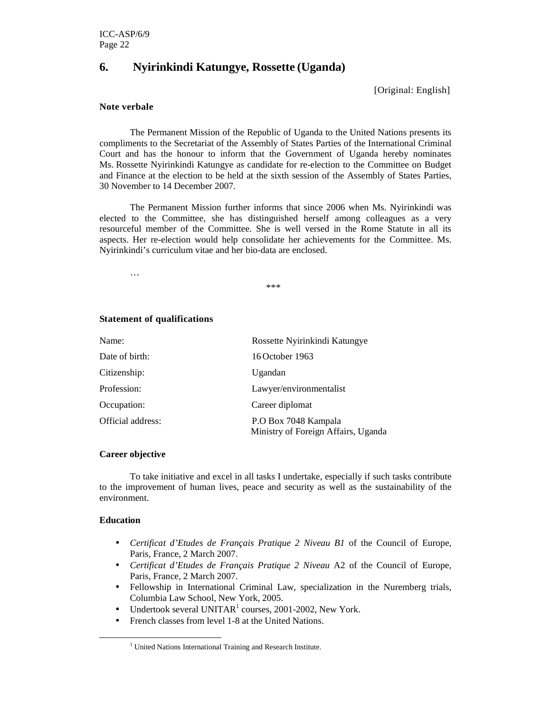# **6. Nyirinkindi Katungye, Rossette (Uganda)**

[Original: English]

## **Note verbale**

The Permanent Mission of the Republic of Uganda to the United Nations presents its compliments to the Secretariat of the Assembly of States Parties of the International Criminal Court and has the honour to inform that the Government of Uganda hereby nominates Ms. Rossette Nyirinkindi Katungye as candidate for re-election to the Committee on Budget and Finance at the election to be held at the sixth session of the Assembly of States Parties, 30 November to 14 December 2007.

The Permanent Mission further informs that since 2006 when Ms. Nyirinkindi was elected to the Committee, she has distinguished herself among colleagues as a very resourceful member of the Committee. She is well versed in the Rome Statute in all its aspects. Her re-election would help consolidate her achievements for the Committee. Ms. Nyirinkindi's curriculum vitae and her bio-data are enclosed.

…

\*\*\*

## **Statement of qualifications**

| Name:             | Rossette Nyirinkindi Katungye                               |
|-------------------|-------------------------------------------------------------|
| Date of birth:    | 16 October 1963                                             |
| Citizenship:      | Ugandan                                                     |
| Profession:       | Lawyer/environmentalist                                     |
| Occupation:       | Career diplomat                                             |
| Official address: | P.O Box 7048 Kampala<br>Ministry of Foreign Affairs, Uganda |

# **Career objective**

To take initiative and excel in all tasks I undertake, especially if such tasks contribute to the improvement of human lives, peace and security as well as the sustainability of the environment.

## **Education**

-

- *Certificat d'Etudes de Français Pratique 2 Niveau B1* of the Council of Europe, Paris, France, 2 March 2007.
- *Certificat d'Etudes de Français Pratique 2 Niveau* A2 of the Council of Europe, Paris, France, 2 March 2007.
- Fellowship in International Criminal Law, specialization in the Nuremberg trials, Columbia Law School, New York, 2005.
- Undertook several UNITAR<sup>1</sup> courses, 2001-2002, New York.
- French classes from level 1-8 at the United Nations.

<sup>&</sup>lt;sup>1</sup> United Nations International Training and Research Institute.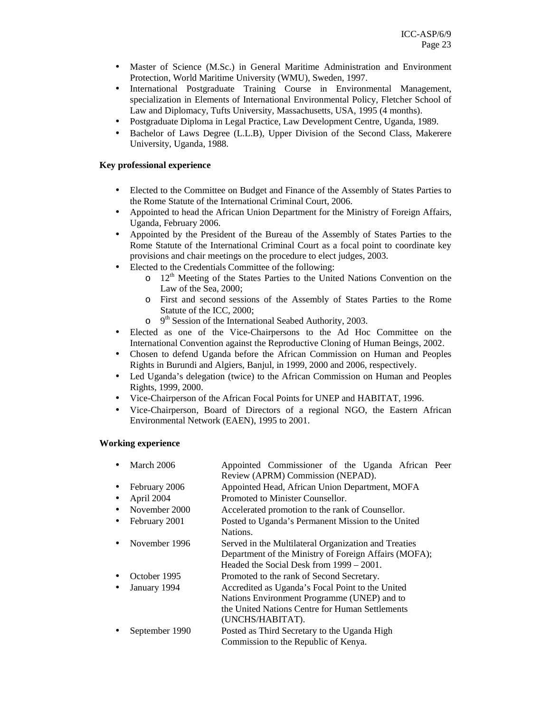- Master of Science (M.Sc.) in General Maritime Administration and Environment Protection, World Maritime University (WMU), Sweden, 1997.
- International Postgraduate Training Course in Environmental Management, specialization in Elements of International Environmental Policy, Fletcher School of Law and Diplomacy, Tufts University, Massachusetts, USA, 1995 (4 months).
- Postgraduate Diploma in Legal Practice, Law Development Centre, Uganda, 1989.
- Bachelor of Laws Degree (L.L.B), Upper Division of the Second Class, Makerere University, Uganda, 1988.

# **Key professional experience**

- Elected to the Committee on Budget and Finance of the Assembly of States Parties to the Rome Statute of the International Criminal Court, 2006.
- Appointed to head the African Union Department for the Ministry of Foreign Affairs, Uganda, February 2006.
- Appointed by the President of the Bureau of the Assembly of States Parties to the Rome Statute of the International Criminal Court as a focal point to coordinate key provisions and chair meetings on the procedure to elect judges, 2003.
- Elected to the Credentials Committee of the following:
	- $\circ$  12<sup>th</sup> Meeting of the States Parties to the United Nations Convention on the Law of the Sea, 2000;
	- o First and second sessions of the Assembly of States Parties to the Rome Statute of the ICC, 2000;
	- $\circ$  $9<sup>th</sup>$  Session of the International Seabed Authority, 2003.
- Elected as one of the Vice-Chairpersons to the Ad Hoc Committee on the International Convention against the Reproductive Cloning of Human Beings, 2002.
- Chosen to defend Uganda before the African Commission on Human and Peoples Rights in Burundi and Algiers, Banjul, in 1999, 2000 and 2006, respectively.
- Led Uganda's delegation (twice) to the African Commission on Human and Peoples Rights, 1999, 2000.
- Vice-Chairperson of the African Focal Points for UNEP and HABITAT, 1996.
- Vice-Chairperson, Board of Directors of a regional NGO, the Eastern African Environmental Network (EAEN), 1995 to 2001.

## **Working experience**

|           | March 2006                                                          | Appointed Commissioner of the Uganda African Peer     |  |  |
|-----------|---------------------------------------------------------------------|-------------------------------------------------------|--|--|
|           |                                                                     | Review (APRM) Commission (NEPAD).                     |  |  |
| $\bullet$ | February 2006                                                       | Appointed Head, African Union Department, MOFA        |  |  |
| ٠         | April 2004                                                          | Promoted to Minister Counsellor.                      |  |  |
|           | November 2000                                                       | Accelerated promotion to the rank of Counsellor.      |  |  |
| $\bullet$ | Posted to Uganda's Permanent Mission to the United<br>February 2001 |                                                       |  |  |
|           |                                                                     | Nations.                                              |  |  |
|           | November 1996                                                       | Served in the Multilateral Organization and Treaties  |  |  |
|           |                                                                     | Department of the Ministry of Foreign Affairs (MOFA); |  |  |
|           |                                                                     | Headed the Social Desk from 1999 – 2001.              |  |  |
|           | October 1995                                                        | Promoted to the rank of Second Secretary.             |  |  |
|           | January 1994                                                        | Accredited as Uganda's Focal Point to the United      |  |  |
|           |                                                                     | Nations Environment Programme (UNEP) and to           |  |  |
|           |                                                                     | the United Nations Centre for Human Settlements       |  |  |
|           |                                                                     | (UNCHS/HABITAT).                                      |  |  |
|           | September 1990                                                      | Posted as Third Secretary to the Uganda High          |  |  |
|           |                                                                     | Commission to the Republic of Kenya.                  |  |  |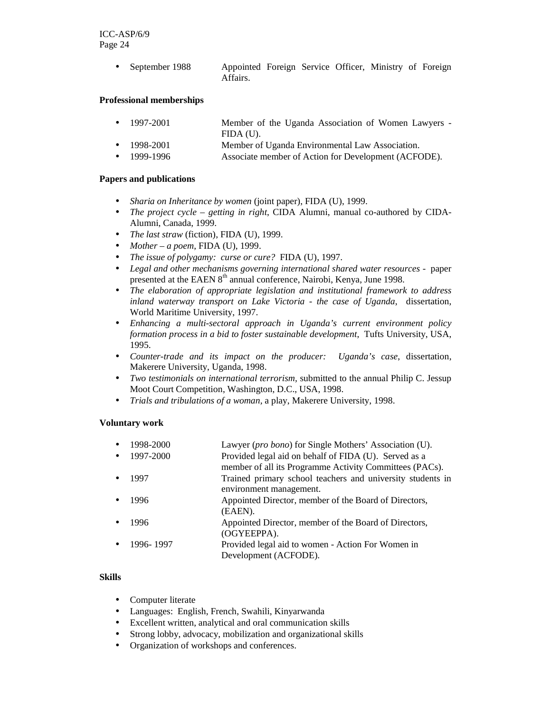> • September 1988 Appointed Foreign Service Officer, Ministry of Foreign Affairs.

## **Professional memberships**

- 1997-2001 Member of the Uganda Association of Women Lawyers FIDA (U).
- 1998-2001 Member of Uganda Environmental Law Association.
- 1999-1996 Associate member of Action for Development (ACFODE).

# **Papers and publications**

- *Sharia on Inheritance by women* (joint paper), FIDA (U), 1999.
- *The project cycle getting in right*, CIDA Alumni, manual co-authored by CIDA-Alumni, Canada, 1999.
- *The last straw* (fiction), FIDA (U), 1999.
- *Mother a poem*, FIDA (U), 1999.
- *The issue of polygamy: curse or cure?* FIDA (U), 1997.
- *Legal and other mechanisms governing international shared water resources* paper presented at the EAEN  $8<sup>th</sup>$  annual conference, Nairobi, Kenya, June 1998.
- *The elaboration of appropriate legislation and institutional framework to address inland waterway transport on Lake Victoria - the case of Uganda*, dissertation, World Maritime University, 1997.
- *Enhancing a multi-sectoral approach in Uganda's current environment policy formation process in a bid to foster sustainable development*, Tufts University, USA, 1995.
- *Counter-trade and its impact on the producer: Uganda's case*, dissertation, Makerere University, Uganda, 1998.
- *Two testimonials on international terrorism,* submitted to the annual Philip C. Jessup Moot Court Competition, Washington, D.C., USA, 1998.
- *Trials and tribulations of a woman,* a play, Makerere University, 1998.

# **Voluntary work**

| 1998-2000 | Lawyer ( <i>pro bono</i> ) for Single Mothers' Association (U).                       |
|-----------|---------------------------------------------------------------------------------------|
| 1997-2000 | Provided legal aid on behalf of FIDA (U). Served as a                                 |
|           | member of all its Programme Activity Committees (PACs).                               |
| 1997      | Trained primary school teachers and university students in<br>environment management. |
| 1996      | Appointed Director, member of the Board of Directors,<br>(EAEN).                      |
| 1996      | Appointed Director, member of the Board of Directors,<br>(OGYEEPPA).                  |
| 1996-1997 | Provided legal aid to women - Action For Women in<br>Development (ACFODE).            |

# **Skills**

- Computer literate
- Languages: English, French, Swahili, Kinyarwanda
- Excellent written, analytical and oral communication skills
- Strong lobby, advocacy, mobilization and organizational skills
- Organization of workshops and conferences.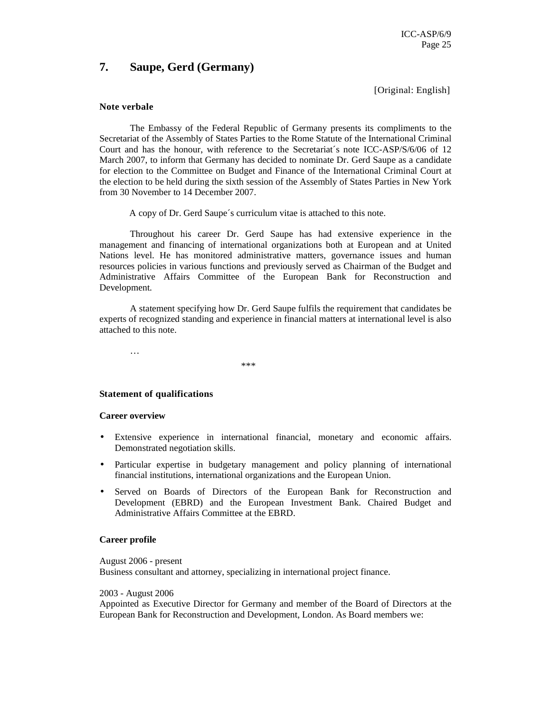# **7. Saupe, Gerd (Germany)**

[Original: English]

#### **Note verbale**

 The Embassy of the Federal Republic of Germany presents its compliments to the Secretariat of the Assembly of States Parties to the Rome Statute of the International Criminal Court and has the honour, with reference to the Secretariat´s note ICC-ASP/S/6/06 of 12 March 2007, to inform that Germany has decided to nominate Dr. Gerd Saupe as a candidate for election to the Committee on Budget and Finance of the International Criminal Court at the election to be held during the sixth session of the Assembly of States Parties in New York from 30 November to 14 December 2007.

A copy of Dr. Gerd Saupe´s curriculum vitae is attached to this note.

 Throughout his career Dr. Gerd Saupe has had extensive experience in the management and financing of international organizations both at European and at United Nations level. He has monitored administrative matters, governance issues and human resources policies in various functions and previously served as Chairman of the Budget and Administrative Affairs Committee of the European Bank for Reconstruction and Development.

 A statement specifying how Dr. Gerd Saupe fulfils the requirement that candidates be experts of recognized standing and experience in financial matters at international level is also attached to this note.

…

\*\*\*

## **Statement of qualifications**

#### **Career overview**

- Extensive experience in international financial, monetary and economic affairs. Demonstrated negotiation skills.
- Particular expertise in budgetary management and policy planning of international financial institutions, international organizations and the European Union.
- Served on Boards of Directors of the European Bank for Reconstruction and Development (EBRD) and the European Investment Bank. Chaired Budget and Administrative Affairs Committee at the EBRD.

#### **Career profile**

August 2006 - present Business consultant and attorney, specializing in international project finance.

#### 2003 - August 2006

Appointed as Executive Director for Germany and member of the Board of Directors at the European Bank for Reconstruction and Development, London. As Board members we: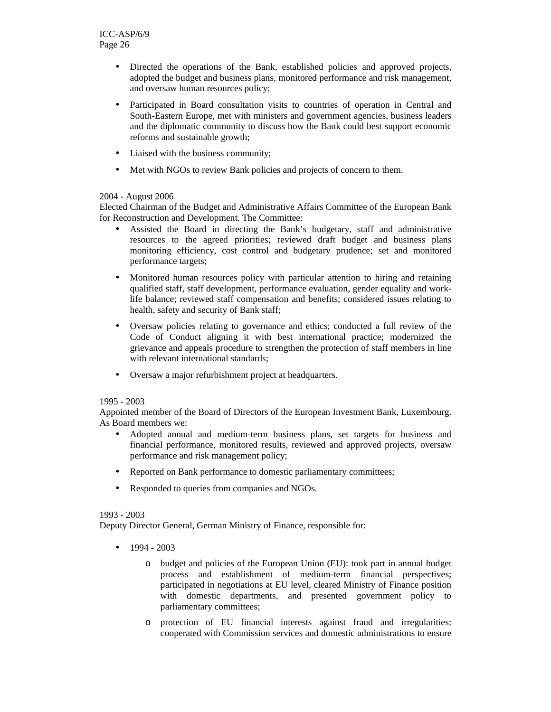- Directed the operations of the Bank, established policies and approved projects, adopted the budget and business plans, monitored performance and risk management, and oversaw human resources policy;
- Participated in Board consultation visits to countries of operation in Central and South-Eastern Europe, met with ministers and government agencies, business leaders and the diplomatic community to discuss how the Bank could best support economic reforms and sustainable growth;
- Liaised with the business community;
- Met with NGOs to review Bank policies and projects of concern to them.

# 2004 - August 2006

Elected Chairman of the Budget and Administrative Affairs Committee of the European Bank for Reconstruction and Development. The Committee:

- Assisted the Board in directing the Bank's budgetary, staff and administrative resources to the agreed priorities; reviewed draft budget and business plans monitoring efficiency, cost control and budgetary prudence; set and monitored performance targets;
- Monitored human resources policy with particular attention to hiring and retaining qualified staff, staff development, performance evaluation, gender equality and worklife balance; reviewed staff compensation and benefits; considered issues relating to health, safety and security of Bank staff;
- Oversaw policies relating to governance and ethics; conducted a full review of the Code of Conduct aligning it with best international practice; modernized the grievance and appeals procedure to strengthen the protection of staff members in line with relevant international standards:
- Oversaw a major refurbishment project at headquarters.

## 1995 - 2003

Appointed member of the Board of Directors of the European Investment Bank, Luxembourg. As Board members we:

- Adopted annual and medium-term business plans, set targets for business and financial performance, monitored results, reviewed and approved projects, oversaw performance and risk management policy;
- Reported on Bank performance to domestic parliamentary committees;
- Responded to queries from companies and NGOs.

## 1993 - 2003

Deputy Director General, German Ministry of Finance, responsible for:

- $-1994 2003$ 
	- o budget and policies of the European Union (EU): took part in annual budget process and establishment of medium-term financial perspectives; participated in negotiations at EU level, cleared Ministry of Finance position with domestic departments, and presented government policy to parliamentary committees;
	- o protection of EU financial interests against fraud and irregularities: cooperated with Commission services and domestic administrations to ensure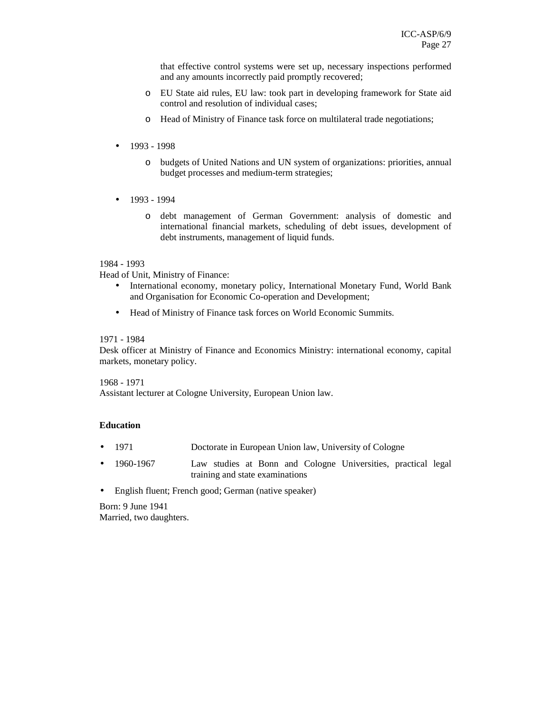that effective control systems were set up, necessary inspections performed and any amounts incorrectly paid promptly recovered;

- o EU State aid rules, EU law: took part in developing framework for State aid control and resolution of individual cases;
- o Head of Ministry of Finance task force on multilateral trade negotiations;
- 1993 1998
	- o budgets of United Nations and UN system of organizations: priorities, annual budget processes and medium-term strategies;
- 1993 1994
	- o debt management of German Government: analysis of domestic and international financial markets, scheduling of debt issues, development of debt instruments, management of liquid funds.

## 1984 - 1993

Head of Unit, Ministry of Finance:

- International economy, monetary policy, International Monetary Fund, World Bank and Organisation for Economic Co-operation and Development;
- Head of Ministry of Finance task forces on World Economic Summits.

#### 1971 - 1984

Desk officer at Ministry of Finance and Economics Ministry: international economy, capital markets, monetary policy.

1968 - 1971 Assistant lecturer at Cologne University, European Union law.

## **Education**

- 1971 Doctorate in European Union law, University of Cologne
- 1960-1967 Law studies at Bonn and Cologne Universities, practical legal training and state examinations
- English fluent; French good; German (native speaker)

Born: 9 June 1941 Married, two daughters.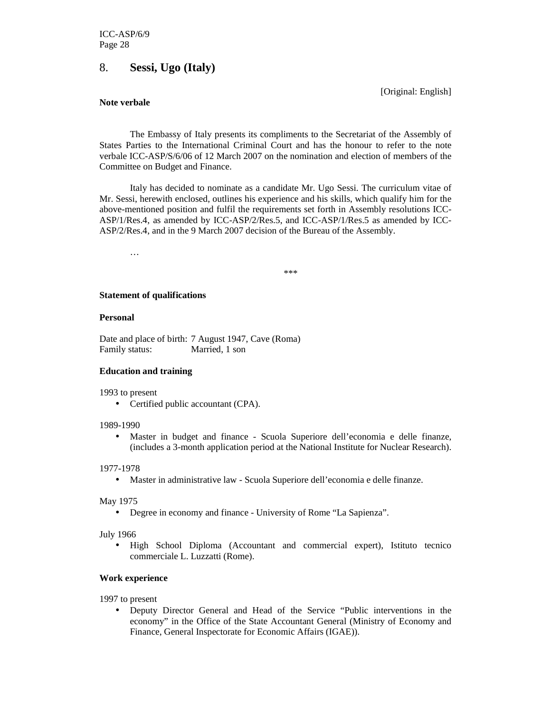# 8. **Sessi, Ugo (Italy)**

[Original: English]

#### **Note verbale**

The Embassy of Italy presents its compliments to the Secretariat of the Assembly of States Parties to the International Criminal Court and has the honour to refer to the note verbale ICC-ASP/S/6/06 of 12 March 2007 on the nomination and election of members of the Committee on Budget and Finance.

Italy has decided to nominate as a candidate Mr. Ugo Sessi. The curriculum vitae of Mr. Sessi, herewith enclosed, outlines his experience and his skills, which qualify him for the above-mentioned position and fulfil the requirements set forth in Assembly resolutions ICC-ASP/1/Res.4, as amended by ICC-ASP/2/Res.5, and ICC-ASP/1/Res.5 as amended by ICC-ASP/2/Res.4, and in the 9 March 2007 decision of the Bureau of the Assembly.

…

\*\*\*

#### **Statement of qualifications**

#### **Personal**

Date and place of birth: 7 August 1947, Cave (Roma) Family status: Married, 1 son

## **Education and training**

1993 to present

• Certified public accountant (CPA).

#### 1989-1990

• Master in budget and finance - Scuola Superiore dell'economia e delle finanze, (includes a 3-month application period at the National Institute for Nuclear Research).

#### 1977-1978

• Master in administrative law - Scuola Superiore dell'economia e delle finanze.

#### May 1975

• Degree in economy and finance - University of Rome "La Sapienza".

July 1966

• High School Diploma (Accountant and commercial expert), Istituto tecnico commerciale L. Luzzatti (Rome).

#### **Work experience**

1997 to present

• Deputy Director General and Head of the Service "Public interventions in the economy" in the Office of the State Accountant General (Ministry of Economy and Finance, General Inspectorate for Economic Affairs (IGAE)).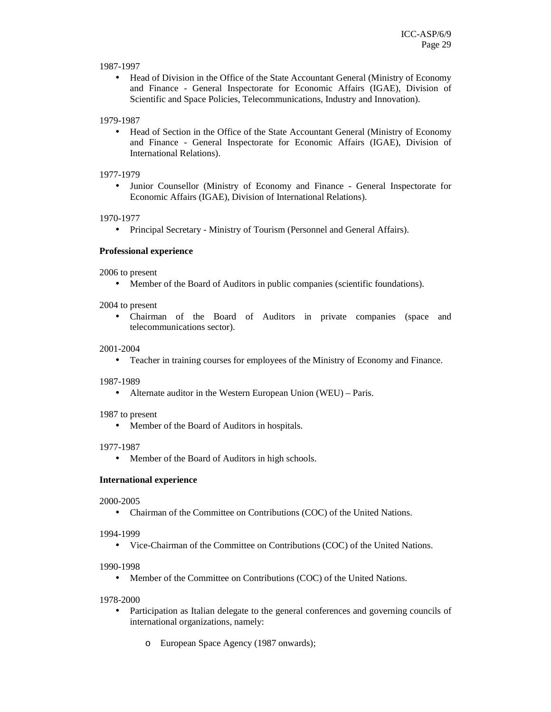## 1987-1997

• Head of Division in the Office of the State Accountant General (Ministry of Economy and Finance - General Inspectorate for Economic Affairs (IGAE), Division of Scientific and Space Policies, Telecommunications, Industry and Innovation).

# 1979-1987

• Head of Section in the Office of the State Accountant General (Ministry of Economy and Finance - General Inspectorate for Economic Affairs (IGAE), Division of International Relations).

# 1977-1979

• Junior Counsellor (Ministry of Economy and Finance - General Inspectorate for Economic Affairs (IGAE), Division of International Relations).

# 1970-1977

• Principal Secretary - Ministry of Tourism (Personnel and General Affairs).

# **Professional experience**

2006 to present

• Member of the Board of Auditors in public companies (scientific foundations).

2004 to present

• Chairman of the Board of Auditors in private companies (space and telecommunications sector).

# 2001-2004

• Teacher in training courses for employees of the Ministry of Economy and Finance.

## 1987-1989

• Alternate auditor in the Western European Union (WEU) – Paris.

1987 to present

• Member of the Board of Auditors in hospitals.

## 1977-1987

• Member of the Board of Auditors in high schools.

## **International experience**

## 2000-2005

• Chairman of the Committee on Contributions (COC) of the United Nations.

## 1994-1999

• Vice-Chairman of the Committee on Contributions (COC) of the United Nations.

## 1990-1998

• Member of the Committee on Contributions (COC) of the United Nations.

## 1978-2000

- Participation as Italian delegate to the general conferences and governing councils of international organizations, namely:
	- o European Space Agency (1987 onwards);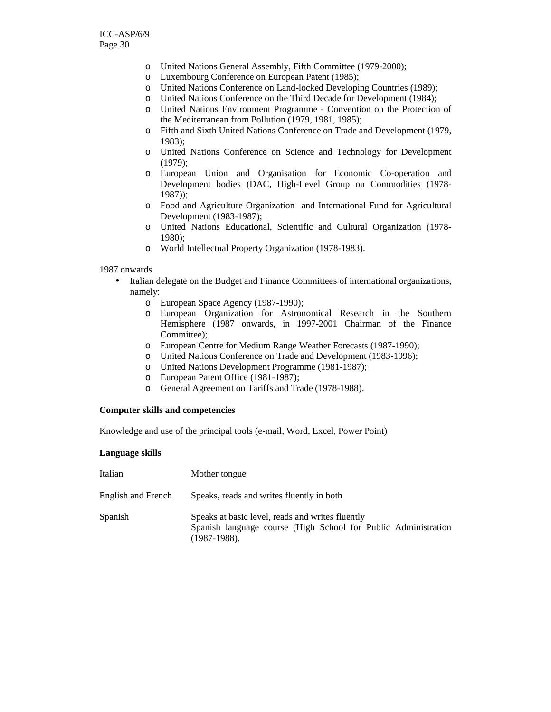- o United Nations General Assembly, Fifth Committee (1979-2000);
- o Luxembourg Conference on European Patent (1985);
- o United Nations Conference on Land-locked Developing Countries (1989);
- o United Nations Conference on the Third Decade for Development (1984);
- o United Nations Environment Programme Convention on the Protection of the Mediterranean from Pollution (1979, 1981, 1985);
- o Fifth and Sixth United Nations Conference on Trade and Development (1979, 1983);
- o United Nations Conference on Science and Technology for Development (1979);
- o European Union and Organisation for Economic Co-operation and Development bodies (DAC, High-Level Group on Commodities (1978- 1987));
- o Food and Agriculture Organization and International Fund for Agricultural Development (1983-1987);
- o United Nations Educational, Scientific and Cultural Organization (1978- 1980);
- o World Intellectual Property Organization (1978-1983).

#### 1987 onwards

- Italian delegate on the Budget and Finance Committees of international organizations, namely:
	- o European Space Agency (1987-1990);
	- o European Organization for Astronomical Research in the Southern Hemisphere (1987 onwards, in 1997-2001 Chairman of the Finance Committee):
	- o European Centre for Medium Range Weather Forecasts (1987-1990);
	- o United Nations Conference on Trade and Development (1983-1996);
	- o United Nations Development Programme (1981-1987);
	- o European Patent Office (1981-1987);
	- o General Agreement on Tariffs and Trade (1978-1988).

#### **Computer skills and competencies**

Knowledge and use of the principal tools (e-mail, Word, Excel, Power Point)

#### **Language skills**

| Italian            | Mother tongue                                                                                                                         |
|--------------------|---------------------------------------------------------------------------------------------------------------------------------------|
| English and French | Speaks, reads and writes fluently in both                                                                                             |
| Spanish            | Speaks at basic level, reads and writes fluently<br>Spanish language course (High School for Public Administration<br>$(1987-1988)$ . |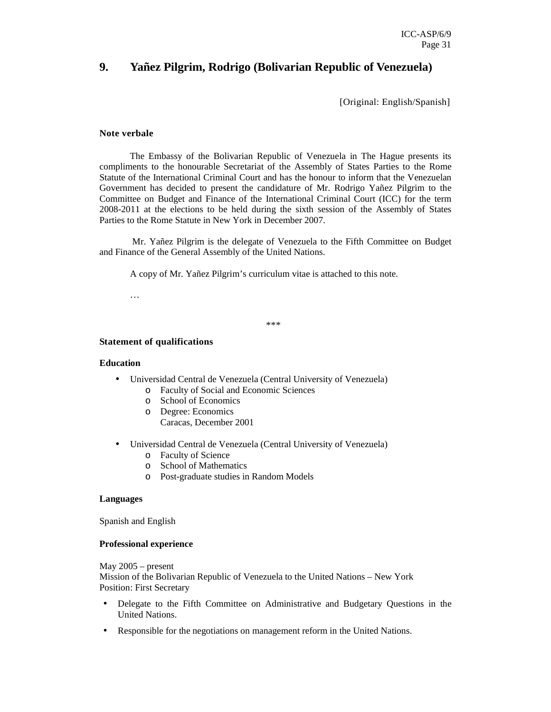# **9. Yañez Pilgrim, Rodrigo (Bolivarian Republic of Venezuela)**

[Original: English/Spanish]

## **Note verbale**

The Embassy of the Bolivarian Republic of Venezuela in The Hague presents its compliments to the honourable Secretariat of the Assembly of States Parties to the Rome Statute of the International Criminal Court and has the honour to inform that the Venezuelan Government has decided to present the candidature of Mr. Rodrigo Yañez Pilgrim to the Committee on Budget and Finance of the International Criminal Court (ICC) for the term 2008-2011 at the elections to be held during the sixth session of the Assembly of States Parties to the Rome Statute in New York in December 2007.

 Mr. Yañez Pilgrim is the delegate of Venezuela to the Fifth Committee on Budget and Finance of the General Assembly of the United Nations.

A copy of Mr. Yañez Pilgrim's curriculum vitae is attached to this note.

…

\*\*\*

## **Statement of qualifications**

#### **Education**

- Universidad Central de Venezuela (Central University of Venezuela)
	- o Faculty of Social and Economic Sciences
	- o School of Economics
	- o Degree: Economics
		- Caracas, December 2001
- Universidad Central de Venezuela (Central University of Venezuela)
	- o Faculty of Science
	- o School of Mathematics
	- o Post-graduate studies in Random Models

#### **Languages**

Spanish and English

#### **Professional experience**

May 2005 – present Mission of the Bolivarian Republic of Venezuela to the United Nations – New York Position: First Secretary

- Delegate to the Fifth Committee on Administrative and Budgetary Questions in the United Nations.
- Responsible for the negotiations on management reform in the United Nations.